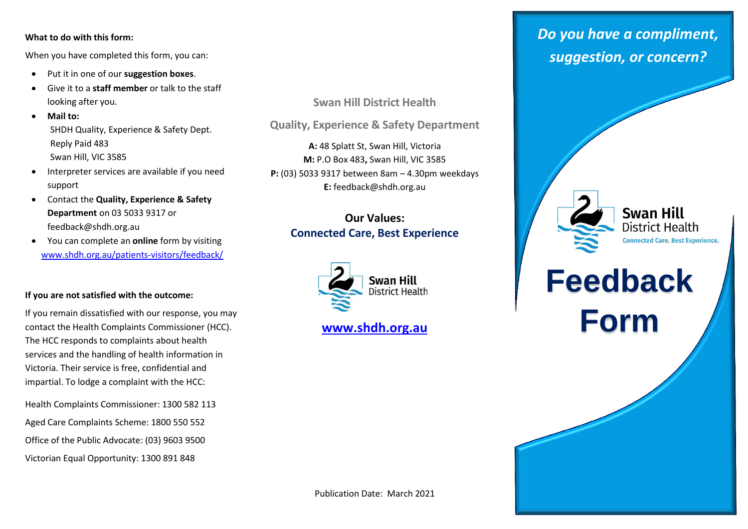## **What to do with this form:**

When you have completed this form, you can:

- Put it in one of our **suggestion boxes**.
- Give it to a **staff member** or talk to the staff looking after you.
- **Mail to:** SHDH Quality, Experience & Safety Dept. Reply Paid 483 Swan Hill, VIC 3585
- Interpreter services are available if you need support
- Contact the **Quality, Experience & Safety Department** on 03 5033 9317 or feedback@shdh.org.au
- You can complete an **online** form by visiting [www.shdh.org.au/patients-visitors/feedback/](http://www.shdh.org.au/patients-visitors/feedback/)

## **If you are not satisfied with the outcome:**

If you remain dissatisfied with our response, you may contact the Health Complaints Commissioner (HCC). The HCC responds to complaints about health services and the handling of health information in Victoria. Their service is free, confidential and impartial. To lodge a complaint with the HCC:

Health Complaints Commissioner: 1300 582 113 Aged Care Complaints Scheme: 1800 550 552 Office of the Public Advocate: (03) 9603 9500 Victorian Equal Opportunity: 1300 891 848

**Swan Hill District Health**

**Quality, Experience & Safety Department**

**A:** 48 Splatt St, Swan Hill, Victoria **M:** P.O Box 483**,** Swan Hill, VIC 3585 **P:** (03) 5033 9317 between 8am – 4.30pm weekdays **E:** feedback@shdh.org.au

## **Our Values: Connected Care, Best Experience**



**[www.shdh.org.au](http://www.shdh.org.au/)**

*Do you have a compliment, suggestion, or concern?*



## **Feedback Form**